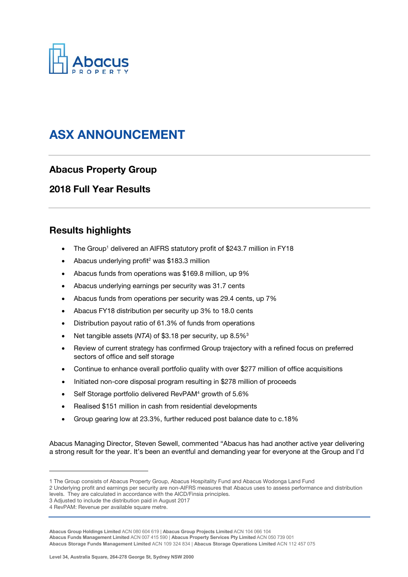

# ASX ANNOUNCEMENT

# Abacus Property Group

## 2018 Full Year Results

# Results highlights

- The Group<sup>1</sup> delivered an AIFRS statutory profit of \$243.7 million in FY18
- Abacus underlying profit<sup>2</sup> was \$183.3 million
- Abacus funds from operations was \$169.8 million, up 9%
- Abacus underlying earnings per security was 31.7 cents
- Abacus funds from operations per security was 29.4 cents, up 7%
- Abacus FY18 distribution per security up 3% to 18.0 cents
- Distribution payout ratio of 61.3% of funds from operations
- Net tangible assets  $(NTA)$  of \$3.18 per security, up  $8.5\%$ <sup>3</sup>
- Review of current strategy has confirmed Group trajectory with a refined focus on preferred sectors of office and self storage
- Continue to enhance overall portfolio quality with over \$277 million of office acquisitions
- Initiated non-core disposal program resulting in \$278 million of proceeds
- Self Storage portfolio delivered RevPAM<sup>4</sup> growth of 5.6%
- Realised \$151 million in cash from residential developments
- Group gearing low at 23.3%, further reduced post balance date to c.18%

Abacus Managing Director, Steven Sewell, commented "Abacus has had another active year delivering a strong result for the year. It's been an eventful and demanding year for everyone at the Group and I'd

l

**Abacus Funds Management Limited** ACN 007 415 590 | **Abacus Property Services Pty Limited** ACN 050 739 001

**Abacus Storage Funds Management Limited** ACN 109 324 834 | **Abacus Storage Operations Limited** ACN 112 457 075

<sup>1</sup> The Group consists of Abacus Property Group, Abacus Hospitality Fund and Abacus Wodonga Land Fund

<sup>2</sup> Underlying profit and earnings per security are non-AIFRS measures that Abacus uses to assess performance and distribution levels. They are calculated in accordance with the AICD/Finsia principles.

<sup>3</sup> Adjusted to include the distribution paid in August 2017

<sup>4</sup> RevPAM: Revenue per available square metre.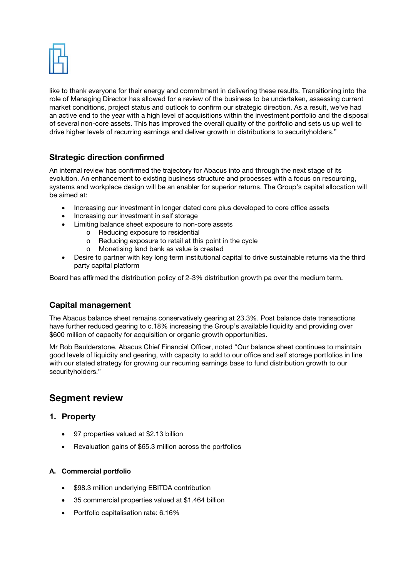

like to thank everyone for their energy and commitment in delivering these results. Transitioning into the role of Managing Director has allowed for a review of the business to be undertaken, assessing current market conditions, project status and outlook to confirm our strategic direction. As a result, we've had an active end to the year with a high level of acquisitions within the investment portfolio and the disposal of several non-core assets. This has improved the overall quality of the portfolio and sets us up well to drive higher levels of recurring earnings and deliver growth in distributions to securityholders."

### Strategic direction confirmed

An internal review has confirmed the trajectory for Abacus into and through the next stage of its evolution. An enhancement to existing business structure and processes with a focus on resourcing, systems and workplace design will be an enabler for superior returns. The Group's capital allocation will be aimed at:

- Increasing our investment in longer dated core plus developed to core office assets
- Increasing our investment in self storage
- Limiting balance sheet exposure to non-core assets
	- o Reducing exposure to residential
	- o Reducing exposure to retail at this point in the cycle<br>
	o Monetising land bank as value is created
		- Monetising land bank as value is created
- Desire to partner with key long term institutional capital to drive sustainable returns via the third party capital platform

Board has affirmed the distribution policy of 2-3% distribution growth pa over the medium term.

### Capital management

The Abacus balance sheet remains conservatively gearing at 23.3%. Post balance date transactions have further reduced gearing to c.18% increasing the Group's available liquidity and providing over \$600 million of capacity for acquisition or organic growth opportunities.

Mr Rob Baulderstone, Abacus Chief Financial Officer, noted "Our balance sheet continues to maintain good levels of liquidity and gearing, with capacity to add to our office and self storage portfolios in line with our stated strategy for growing our recurring earnings base to fund distribution growth to our securityholders."

# Segment review

### 1. Property

- 97 properties valued at \$2.13 billion
- Revaluation gains of \$65.3 million across the portfolios

#### A. Commercial portfolio

- \$98.3 million underlying EBITDA contribution
- 35 commercial properties valued at \$1.464 billion
- Portfolio capitalisation rate: 6.16%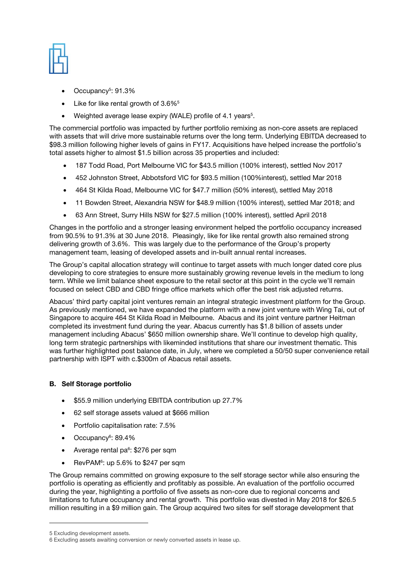| t,                   | ï<br>I<br>٠                                 |
|----------------------|---------------------------------------------|
| $\frac{1}{\sqrt{2}}$ | $\overline{\phantom{a}}$<br>i.<br>ł.<br>e e |
|                      | ì                                           |
| ì                    | ÷<br>÷<br>٠.<br>-                           |
|                      |                                             |

- Occupancy<sup>5</sup>: 91.3%
- $\bullet$  Like for like rental growth of 3.6% $^5$
- Weighted average lease expiry (WALE) profile of 4.1 years<sup>5</sup>.

The commercial portfolio was impacted by further portfolio remixing as non-core assets are replaced with assets that will drive more sustainable returns over the long term. Underlying EBITDA decreased to \$98.3 million following higher levels of gains in FY17. Acquisitions have helped increase the portfolio's total assets higher to almost \$1.5 billion across 35 properties and included:

- 187 Todd Road, Port Melbourne VIC for \$43.5 million (100% interest), settled Nov 2017
- 452 Johnston Street, Abbotsford VIC for \$93.5 million (100%interest), settled Mar 2018
- 464 St Kilda Road, Melbourne VIC for \$47.7 million (50% interest), settled May 2018
- 11 Bowden Street, Alexandria NSW for \$48.9 million (100% interest), settled Mar 2018; and
- 63 Ann Street, Surry Hills NSW for \$27.5 million (100% interest), settled April 2018

Changes in the portfolio and a stronger leasing environment helped the portfolio occupancy increased from 90.5% to 91.3% at 30 June 2018. Pleasingly, like for like rental growth also remained strong delivering growth of 3.6%. This was largely due to the performance of the Group's property management team, leasing of developed assets and in-built annual rental increases.

The Group's capital allocation strategy will continue to target assets with much longer dated core plus developing to core strategies to ensure more sustainably growing revenue levels in the medium to long term. While we limit balance sheet exposure to the retail sector at this point in the cycle we'll remain focused on select CBD and CBD fringe office markets which offer the best risk adjusted returns.

Abacus' third party capital joint ventures remain an integral strategic investment platform for the Group. As previously mentioned, we have expanded the platform with a new joint venture with Wing Tai, out of Singapore to acquire 464 St Kilda Road in Melbourne. Abacus and its joint venture partner Heitman completed its investment fund during the year. Abacus currently has \$1.8 billion of assets under management including Abacus' \$650 million ownership share. We'll continue to develop high quality, long term strategic partnerships with likeminded institutions that share our investment thematic. This was further highlighted post balance date, in July, where we completed a 50/50 super convenience retail partnership with ISPT with c.\$300m of Abacus retail assets.

### B. Self Storage portfolio

- \$55.9 million underlying EBITDA contribution up 27.7%
- 62 self storage assets valued at \$666 million
- Portfolio capitalisation rate: 7.5%
- Occupancy<sup>6</sup>: 89.4%
- Average rental pa $6: $276$  per sqm
- RevPAM<sup>6</sup>: up 5.6% to \$247 per sqm

The Group remains committed on growing exposure to the self storage sector while also ensuring the portfolio is operating as efficiently and profitably as possible. An evaluation of the portfolio occurred during the year, highlighting a portfolio of five assets as non-core due to regional concerns and limitations to future occupancy and rental growth. This portfolio was divested in May 2018 for \$26.5 million resulting in a \$9 million gain. The Group acquired two sites for self storage development that

l

<sup>5</sup> Excluding development assets.

<sup>6</sup> Excluding assets awaiting conversion or newly converted assets in lease up.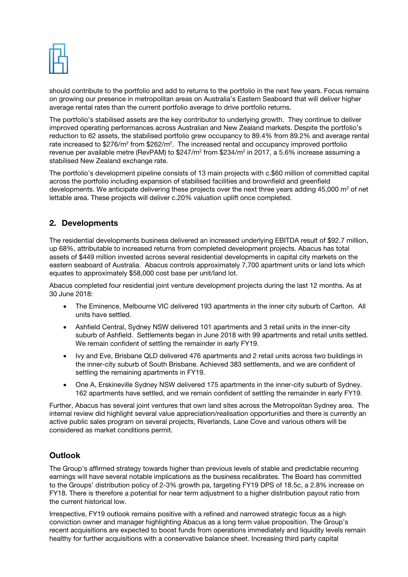

should contribute to the portfolio and add to returns to the portfolio in the next few years. Focus remains on growing our presence in metropolitan areas on Australia's Eastern Seaboard that will deliver higher average rental rates than the current portfolio average to drive portfolio returns.

The portfolio's stabilised assets are the key contributor to underlying growth. They continue to deliver improved operating performances across Australian and New Zealand markets. Despite the portfolio's reduction to 62 assets, the stabilised portfolio grew occupancy to 89.4% from 89.2% and average rental rate increased to \$276/m<sup>2</sup> from \$262/m<sup>2</sup>. The increased rental and occupancy improved portfolio revenue per available metre (RevPAM) to \$247/m² from \$234/m² in 2017, a 5.6% increase assuming a stabilised New Zealand exchange rate.

The portfolio's development pipeline consists of 13 main projects with c.\$60 million of committed capital across the portfolio including expansion of stabilised facilities and brownfield and greenfield developments. We anticipate delivering these projects over the next three years adding 45,000 m<sup>2</sup> of net lettable area. These projects will deliver c.20% valuation uplift once completed.

## 2. Developments

The residential developments business delivered an increased underlying EBITDA result of \$92.7 million, up 68%, attributable to increased returns from completed development projects. Abacus has total assets of \$449 million invested across several residential developments in capital city markets on the eastern seaboard of Australia. Abacus controls approximately 7,700 apartment units or land lots which equates to approximately \$58,000 cost base per unit/land lot.

Abacus completed four residential joint venture development projects during the last 12 months. As at 30 June 2018:

- The Eminence, Melbourne VIC delivered 193 apartments in the inner city suburb of Carlton. All units have settled.
- Ashfield Central, Sydney NSW delivered 101 apartments and 3 retail units in the inner-city suburb of Ashfield. Settlements began in June 2018 with 99 apartments and retail units settled. We remain confident of settling the remainder in early FY19.
- Ivy and Eve, Brisbane QLD delivered 476 apartments and 2 retail units across two buildings in the inner-city suburb of South Brisbane. Achieved 383 settlements, and we are confident of settling the remaining apartments in FY19.
- One A, Erskineville Sydney NSW delivered 175 apartments in the inner-city suburb of Sydney. 162 apartments have settled, and we remain confident of settling the remainder in early FY19.

Further, Abacus has several joint ventures that own land sites across the Metropolitan Sydney area. The internal review did highlight several value appreciation/realisation opportunities and there is currently an active public sales program on several projects, Riverlands, Lane Cove and various others will be considered as market conditions permit.

# **Outlook**

The Group's affirmed strategy towards higher than previous levels of stable and predictable recurring earnings will have several notable implications as the business recalibrates. The Board has committed to the Groups' distribution policy of 2-3% growth pa, targeting FY19 DPS of 18.5c, a 2.8% increase on FY18. There is therefore a potential for near term adjustment to a higher distribution payout ratio from the current historical low.

Irrespective, FY19 outlook remains positive with a refined and narrowed strategic focus as a high conviction owner and manager highlighting Abacus as a long term value proposition. The Group's recent acquisitions are expected to boost funds from operations immediately and liquidity levels remain healthy for further acquisitions with a conservative balance sheet. Increasing third party capital